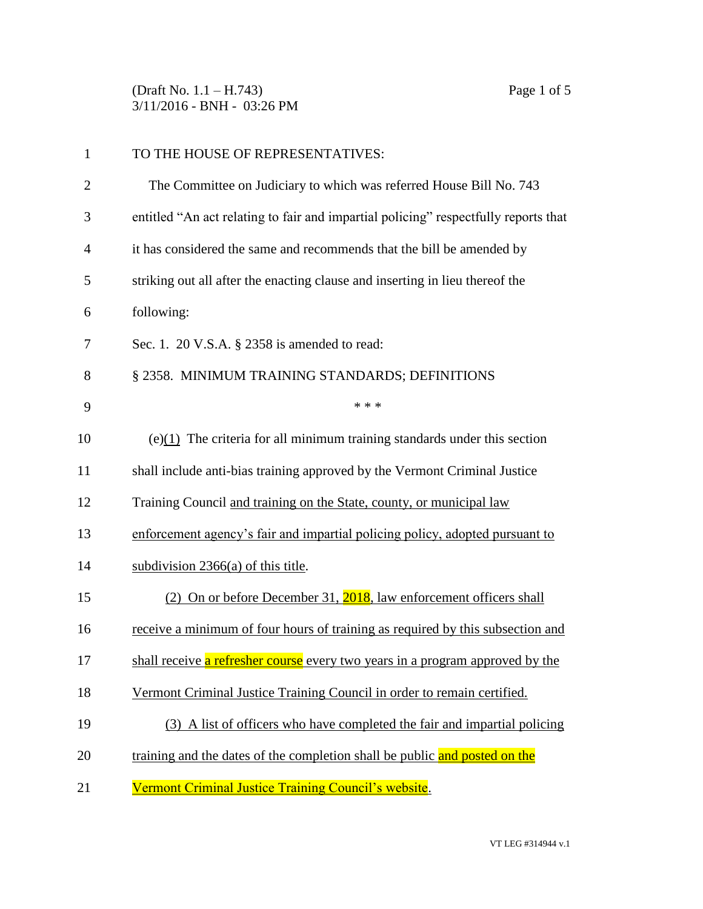(Draft No. 1.1 – H.743) Page 1 of 5 3/11/2016 - BNH - 03:26 PM

| $\mathbf{1}$   | TO THE HOUSE OF REPRESENTATIVES:                                                    |
|----------------|-------------------------------------------------------------------------------------|
| $\overline{2}$ | The Committee on Judiciary to which was referred House Bill No. 743                 |
| 3              | entitled "An act relating to fair and impartial policing" respectfully reports that |
| 4              | it has considered the same and recommends that the bill be amended by               |
| 5              | striking out all after the enacting clause and inserting in lieu thereof the        |
| 6              | following:                                                                          |
| 7              | Sec. 1. 20 V.S.A. § 2358 is amended to read:                                        |
| 8              | § 2358. MINIMUM TRAINING STANDARDS; DEFINITIONS                                     |
| 9              | * * *                                                                               |
| 10             | (e) $(1)$ The criteria for all minimum training standards under this section        |
| 11             | shall include anti-bias training approved by the Vermont Criminal Justice           |
| 12             | Training Council and training on the State, county, or municipal law                |
| 13             | enforcement agency's fair and impartial policing policy, adopted pursuant to        |
| 14             | subdivision $2366(a)$ of this title.                                                |
| 15             | (2) On or before December 31, 2018, law enforcement officers shall                  |
| 16             | receive a minimum of four hours of training as required by this subsection and      |
| 17             | shall receive a refresher course every two years in a program approved by the       |
| 18             | Vermont Criminal Justice Training Council in order to remain certified.             |
| 19             | (3) A list of officers who have completed the fair and impartial policing           |
| 20             | training and the dates of the completion shall be public and posted on the          |
| 21             | Vermont Criminal Justice Training Council's website.                                |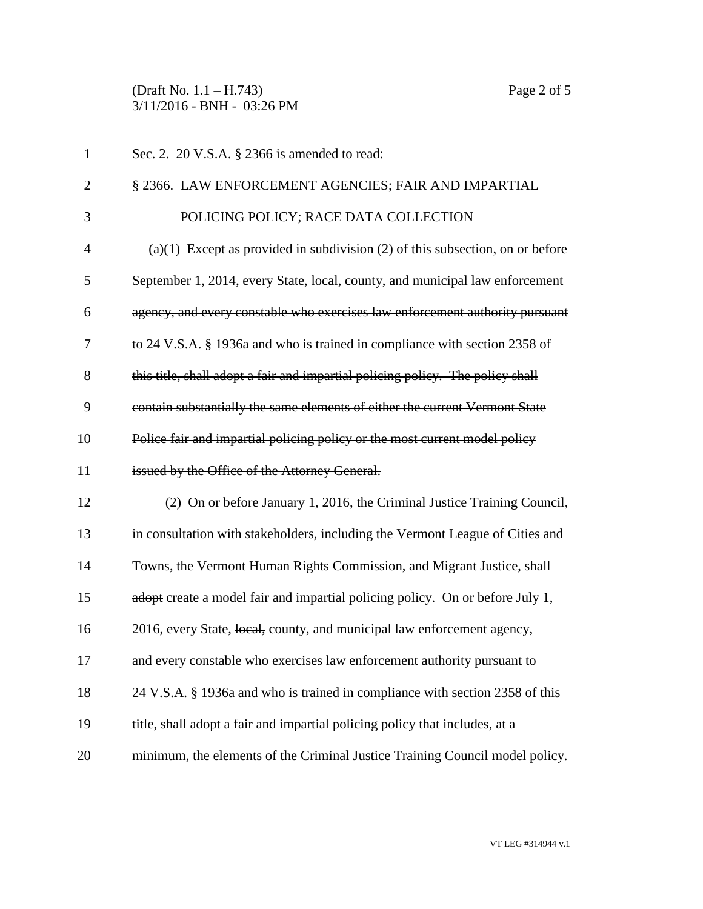(Draft No. 1.1 – H.743) Page 2 of 5 3/11/2016 - BNH - 03:26 PM

| $\mathbf{1}$   | Sec. 2. 20 V.S.A. § 2366 is amended to read:                                                      |
|----------------|---------------------------------------------------------------------------------------------------|
| $\overline{2}$ | § 2366. LAW ENFORCEMENT AGENCIES; FAIR AND IMPARTIAL                                              |
| 3              | POLICING POLICY; RACE DATA COLLECTION                                                             |
| $\overline{4}$ | (a) $(1)$ Except as provided in subdivision $(2)$ of this subsection, on or before                |
| 5              | September 1, 2014, every State, local, county, and municipal law enforcement                      |
| 6              | agency, and every constable who exercises law enforcement authority pursuant                      |
| 7              | to 24 V.S.A. § 1936a and who is trained in compliance with section 2358 of                        |
| 8              | this title, shall adopt a fair and impartial policing policy. The policy shall                    |
| 9              | contain substantially the same elements of either the current Vermont State                       |
| 10             | Police fair and impartial policing policy or the most current model policy                        |
| 11             | issued by the Office of the Attorney General.                                                     |
| 12             | $\left( \frac{2}{2} \right)$ On or before January 1, 2016, the Criminal Justice Training Council, |
| 13             | in consultation with stakeholders, including the Vermont League of Cities and                     |
| 14             | Towns, the Vermont Human Rights Commission, and Migrant Justice, shall                            |
| 15             | adopt create a model fair and impartial policing policy. On or before July 1,                     |
| 16             | 2016, every State, local, county, and municipal law enforcement agency,                           |
| 17             | and every constable who exercises law enforcement authority pursuant to                           |
| 18             | 24 V.S.A. § 1936a and who is trained in compliance with section 2358 of this                      |
| 19             | title, shall adopt a fair and impartial policing policy that includes, at a                       |
| 20             | minimum, the elements of the Criminal Justice Training Council model policy.                      |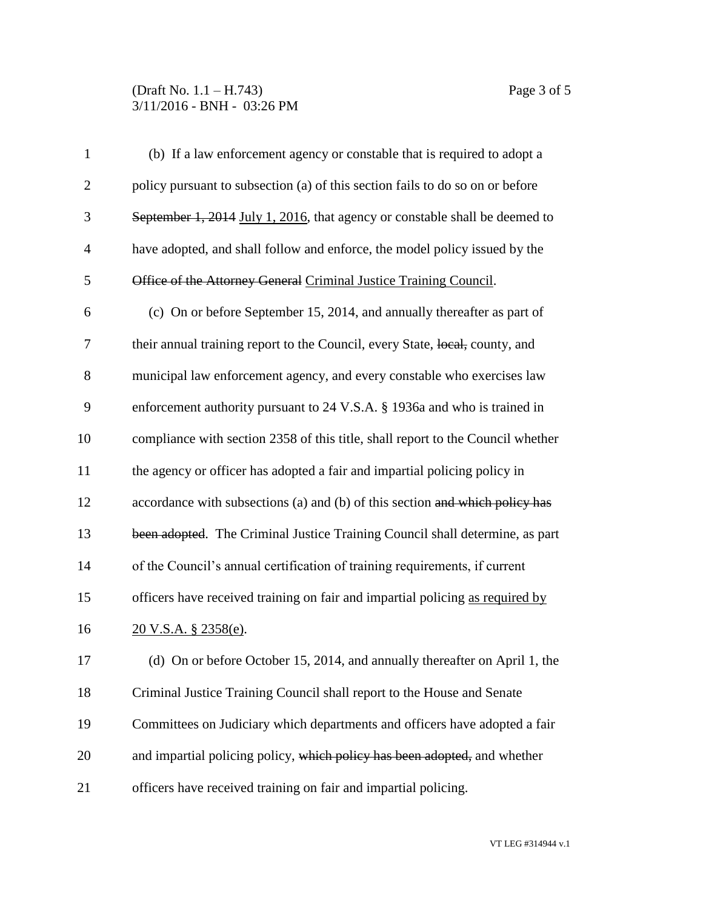## (Draft No. 1.1 – H.743) Page 3 of 5 3/11/2016 - BNH - 03:26 PM

| $\mathbf{1}$   | (b) If a law enforcement agency or constable that is required to adopt a        |
|----------------|---------------------------------------------------------------------------------|
| $\mathbf{2}$   | policy pursuant to subsection (a) of this section fails to do so on or before   |
| 3              | September 1, 2014 July 1, 2016, that agency or constable shall be deemed to     |
| $\overline{4}$ | have adopted, and shall follow and enforce, the model policy issued by the      |
| 5              | Office of the Attorney General Criminal Justice Training Council.               |
| 6              | (c) On or before September 15, 2014, and annually thereafter as part of         |
| 7              | their annual training report to the Council, every State, local, county, and    |
| 8              | municipal law enforcement agency, and every constable who exercises law         |
| 9              | enforcement authority pursuant to 24 V.S.A. § 1936a and who is trained in       |
| 10             | compliance with section 2358 of this title, shall report to the Council whether |
| 11             | the agency or officer has adopted a fair and impartial policing policy in       |
| 12             | accordance with subsections (a) and (b) of this section and which policy has    |
| 13             | been adopted. The Criminal Justice Training Council shall determine, as part    |
| 14             | of the Council's annual certification of training requirements, if current      |
| 15             | officers have received training on fair and impartial policing as required by   |
| 16             | <u>20 V.S.A. § 2358(e)</u> .                                                    |
| 17             | (d) On or before October 15, 2014, and annually thereafter on April 1, the      |
| 18             | Criminal Justice Training Council shall report to the House and Senate          |
| 19             | Committees on Judiciary which departments and officers have adopted a fair      |
| 20             | and impartial policing policy, which policy has been adopted, and whether       |
| 21             | officers have received training on fair and impartial policing.                 |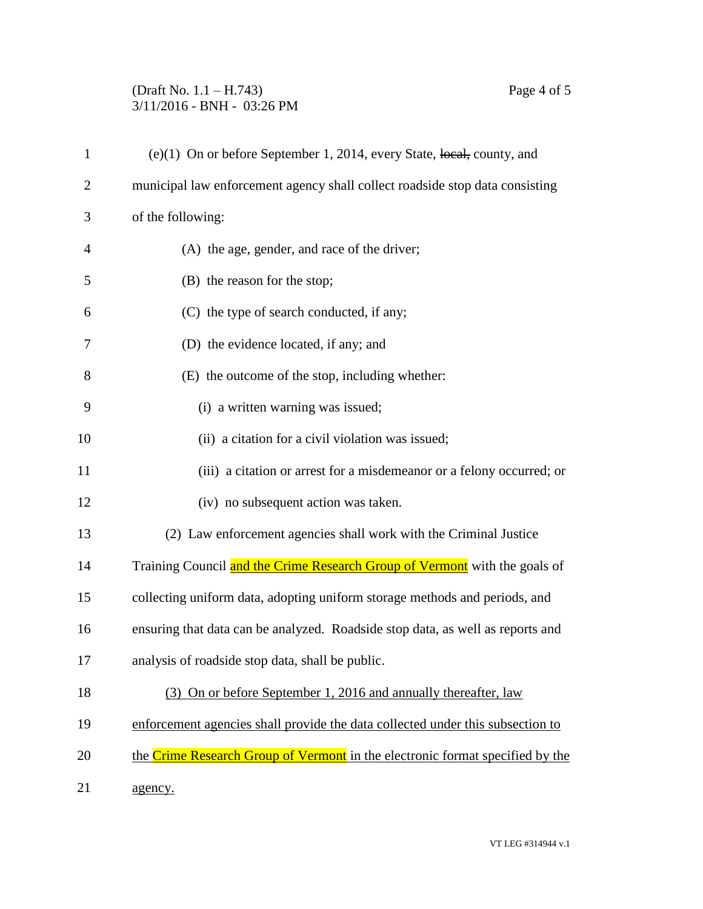## (Draft No. 1.1 – H.743) Page 4 of 5 3/11/2016 - BNH - 03:26 PM

| $\mathbf{1}$   | $(e)(1)$ On or before September 1, 2014, every State, local, county, and       |
|----------------|--------------------------------------------------------------------------------|
| $\overline{2}$ | municipal law enforcement agency shall collect roadside stop data consisting   |
| 3              | of the following:                                                              |
| $\overline{4}$ | (A) the age, gender, and race of the driver;                                   |
| 5              | (B) the reason for the stop;                                                   |
| 6              | (C) the type of search conducted, if any;                                      |
| 7              | (D) the evidence located, if any; and                                          |
| 8              | (E) the outcome of the stop, including whether:                                |
| 9              | (i) a written warning was issued;                                              |
| 10             | (ii) a citation for a civil violation was issued;                              |
| 11             | (iii) a citation or arrest for a misdemeanor or a felony occurred; or          |
| 12             | (iv) no subsequent action was taken.                                           |
| 13             | (2) Law enforcement agencies shall work with the Criminal Justice              |
| 14             | Training Council and the Crime Research Group of Vermont with the goals of     |
| 15             | collecting uniform data, adopting uniform storage methods and periods, and     |
| 16             | ensuring that data can be analyzed. Roadside stop data, as well as reports and |
| 17             | analysis of roadside stop data, shall be public.                               |
| 18             | (3) On or before September 1, 2016 and annually thereafter, law                |
| 19             | enforcement agencies shall provide the data collected under this subsection to |
| 20             | the Crime Research Group of Vermont in the electronic format specified by the  |
| 21             | agency.                                                                        |